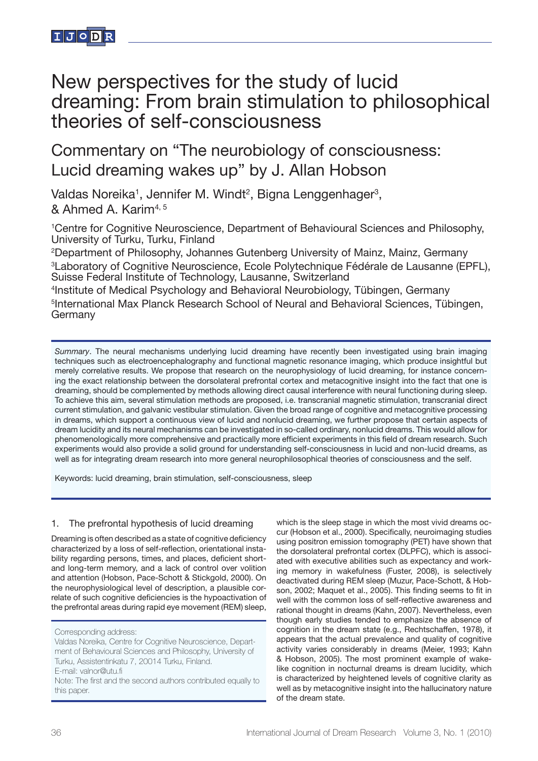

# New perspectives for the study of lucid dreaming: From brain stimulation to philosophical theories of self-consciousness

Commentary on "The neurobiology of consciousness: Lucid dreaming wakes up" by J. Allan Hobson

Valdas Noreika<sup>1</sup>, Jennifer M. Windt<sup>2</sup>, Bigna Lenggenhager<sup>3</sup>, & Ahmed A. Karim4, 5

<sup>1</sup> Centre for Cognitive Neuroscience, Department of Behavioural Sciences and Philosophy, University of Turku, Turku, Finland

2 Department of Philosophy, Johannes Gutenberg University of Mainz, Mainz, Germany <sup>3</sup> Laboratory of Cognitive Neuroscience, Ecole Polytechnique Fédérale de Lausanne (EPFL), Suisse Federal Institute of Technology, Lausanne, Switzerland

4 Institute of Medical Psychology and Behavioral Neurobiology, Tübingen, Germany 5 International Max Planck Research School of Neural and Behavioral Sciences, Tübingen, Germany

*Summary*. The neural mechanisms underlying lucid dreaming have recently been investigated using brain imaging techniques such as electroencephalography and functional magnetic resonance imaging, which produce insightful but merely correlative results. We propose that research on the neurophysiology of lucid dreaming, for instance concerning the exact relationship between the dorsolateral prefrontal cortex and metacognitive insight into the fact that one is dreaming, should be complemented by methods allowing direct causal interference with neural functioning during sleep. To achieve this aim, several stimulation methods are proposed, i.e. transcranial magnetic stimulation, transcranial direct current stimulation, and galvanic vestibular stimulation. Given the broad range of cognitive and metacognitive processing in dreams, which support a continuous view of lucid and nonlucid dreaming, we further propose that certain aspects of dream lucidity and its neural mechanisms can be investigated in so-called ordinary, nonlucid dreams. This would allow for phenomenologically more comprehensive and practically more efficient experiments in this field of dream research. Such experiments would also provide a solid ground for understanding self-consciousness in lucid and non-lucid dreams, as well as for integrating dream research into more general neurophilosophical theories of consciousness and the self.

Keywords: lucid dreaming, brain stimulation, self-consciousness, sleep

## 1. The prefrontal hypothesis of lucid dreaming

Dreaming is often described as a state of cognitive deficiency characterized by a loss of self-reflection, orientational instability regarding persons, times, and places, deficient shortand long-term memory, and a lack of control over volition and attention (Hobson, Pace-Schott & Stickgold, 2000). On the neurophysiological level of description, a plausible correlate of such cognitive deficiencies is the hypoactivation of the prefrontal areas during rapid eye movement (REM) sleep,

which is the sleep stage in which the most vivid dreams occur (Hobson et al., 2000). Specifically, neuroimaging studies using positron emission tomography (PET) have shown that the dorsolateral prefrontal cortex (DLPFC), which is associated with executive abilities such as expectancy and working memory in wakefulness (Fuster, 2008), is selectively deactivated during REM sleep (Muzur, Pace-Schott, & Hobson, 2002; Maquet et al., 2005). This finding seems to fit in well with the common loss of self-reflective awareness and rational thought in dreams (Kahn, 2007). Nevertheless, even though early studies tended to emphasize the absence of cognition in the dream state (e.g., Rechtschaffen, 1978), it appears that the actual prevalence and quality of cognitive activity varies considerably in dreams (Meier, 1993; Kahn & Hobson, 2005). The most prominent example of wakelike cognition in nocturnal dreams is dream lucidity, which is characterized by heightened levels of cognitive clarity as well as by metacognitive insight into the hallucinatory nature of the dream state.

Corresponding address:

Valdas Noreika, Centre for Cognitive Neuroscience, Department of Behavioural Sciences and Philosophy, University of Turku, Assistentinkatu 7, 20014 Turku, Finland. E-mail: valnor@utu.fi Note: The first and the second authors contributed equally to this paper.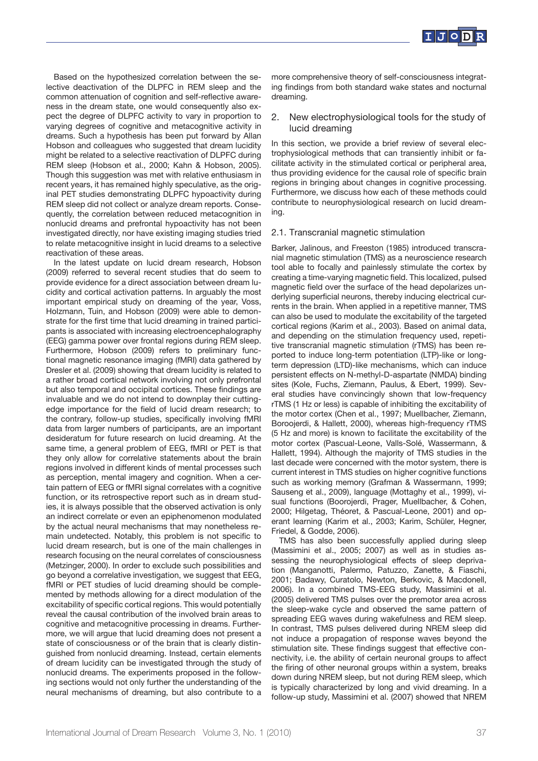

Based on the hypothesized correlation between the selective deactivation of the DLPFC in REM sleep and the common attenuation of cognition and self-reflective awareness in the dream state, one would consequently also expect the degree of DLPFC activity to vary in proportion to varying degrees of cognitive and metacognitive activity in dreams. Such a hypothesis has been put forward by Allan Hobson and colleagues who suggested that dream lucidity might be related to a selective reactivation of DLPFC during REM sleep (Hobson et al., 2000; Kahn & Hobson, 2005). Though this suggestion was met with relative enthusiasm in recent years, it has remained highly speculative, as the original PET studies demonstrating DLPFC hypoactivity during REM sleep did not collect or analyze dream reports. Consequently, the correlation between reduced metacognition in nonlucid dreams and prefrontal hypoactivity has not been investigated directly, nor have existing imaging studies tried to relate metacognitive insight in lucid dreams to a selective reactivation of these areas.

In the latest update on lucid dream research, Hobson (2009) referred to several recent studies that do seem to provide evidence for a direct association between dream lucidity and cortical activation patterns. In arguably the most important empirical study on dreaming of the year, Voss, Holzmann, Tuin, and Hobson (2009) were able to demonstrate for the first time that lucid dreaming in trained participants is associated with increasing electroencephalography (EEG) gamma power over frontal regions during REM sleep. Furthermore, Hobson (2009) refers to preliminary functional magnetic resonance imaging (fMRI) data gathered by Dresler et al. (2009) showing that dream lucidity is related to a rather broad cortical network involving not only prefrontal but also temporal and occipital cortices. These findings are invaluable and we do not intend to downplay their cuttingedge importance for the field of lucid dream research; to the contrary, follow-up studies, specifically involving fMRI data from larger numbers of participants, are an important desideratum for future research on lucid dreaming. At the same time, a general problem of EEG, fMRI or PET is that they only allow for correlative statements about the brain regions involved in different kinds of mental processes such as perception, mental imagery and cognition. When a certain pattern of EEG or fMRI signal correlates with a cognitive function, or its retrospective report such as in dream studies, it is always possible that the observed activation is only an indirect correlate or even an epiphenomenon modulated by the actual neural mechanisms that may nonetheless remain undetected. Notably, this problem is not specific to lucid dream research, but is one of the main challenges in research focusing on the neural correlates of consciousness (Metzinger, 2000). In order to exclude such possibilities and go beyond a correlative investigation, we suggest that EEG, fMRI or PET studies of lucid dreaming should be complemented by methods allowing for a direct modulation of the excitability of specific cortical regions. This would potentially reveal the causal contribution of the involved brain areas to cognitive and metacognitive processing in dreams. Furthermore, we will argue that lucid dreaming does not present a state of consciousness or of the brain that is clearly distinguished from nonlucid dreaming. Instead, certain elements of dream lucidity can be investigated through the study of nonlucid dreams. The experiments proposed in the following sections would not only further the understanding of the neural mechanisms of dreaming, but also contribute to a

more comprehensive theory of self-consciousness integrating findings from both standard wake states and nocturnal dreaming.

## 2. New electrophysiological tools for the study of lucid dreaming

In this section, we provide a brief review of several electrophysiological methods that can transiently inhibit or facilitate activity in the stimulated cortical or peripheral area, thus providing evidence for the causal role of specific brain regions in bringing about changes in cognitive processing. Furthermore, we discuss how each of these methods could contribute to neurophysiological research on lucid dreaming.

#### 2.1. Transcranial magnetic stimulation

Barker, Jalinous, and Freeston (1985) introduced transcranial magnetic stimulation (TMS) as a neuroscience research tool able to focally and painlessly stimulate the cortex by creating a time-varying magnetic field. This localized, pulsed magnetic field over the surface of the head depolarizes underlying superficial neurons, thereby inducing electrical currents in the brain. When applied in a repetitive manner, TMS can also be used to modulate the excitability of the targeted cortical regions (Karim et al., 2003). Based on animal data, and depending on the stimulation frequency used, repetitive transcranial magnetic stimulation (rTMS) has been reported to induce long-term potentiation (LTP)-like or longterm depression (LTD)-like mechanisms, which can induce persistent effects on N-methyl-D-aspartate (NMDA) binding sites (Kole, Fuchs, Ziemann, Paulus, & Ebert, 1999). Several studies have convincingly shown that low-frequency rTMS (1 Hz or less) is capable of inhibiting the excitability of the motor cortex (Chen et al., 1997; Muellbacher, Ziemann, Boroojerdi, & Hallett, 2000), whereas high-frequency rTMS (5 Hz and more) is known to facilitate the excitability of the motor cortex (Pascual-Leone, Valls-Solé, Wassermann, & Hallett, 1994). Although the majority of TMS studies in the last decade were concerned with the motor system, there is current interest in TMS studies on higher cognitive functions such as working memory (Grafman & Wassermann, 1999; Sauseng et al., 2009), language (Mottaghy et al., 1999), visual functions (Boorojerdi, Prager, Muellbacher, & Cohen, 2000; Hilgetag, Théoret, & Pascual-Leone, 2001) and operant learning (Karim et al., 2003; Karim, Schüler, Hegner, Friedel, & Godde, 2006).

TMS has also been successfully applied during sleep (Massimini et al., 2005; 2007) as well as in studies assessing the neurophysiological effects of sleep deprivation (Manganotti, Palermo, Patuzzo, Zanette, & Fiaschi, 2001; Badawy, Curatolo, Newton, Berkovic, & Macdonell, 2006). In a combined TMS-EEG study, Massimini et al. (2005) delivered TMS pulses over the premotor area across the sleep-wake cycle and observed the same pattern of spreading EEG waves during wakefulness and REM sleep. In contrast, TMS pulses delivered during NREM sleep did not induce a propagation of response waves beyond the stimulation site. These findings suggest that effective connectivity, i.e. the ability of certain neuronal groups to affect the firing of other neuronal groups within a system, breaks down during NREM sleep, but not during REM sleep, which is typically characterized by long and vivid dreaming. In a follow-up study, Massimini et al. (2007) showed that NREM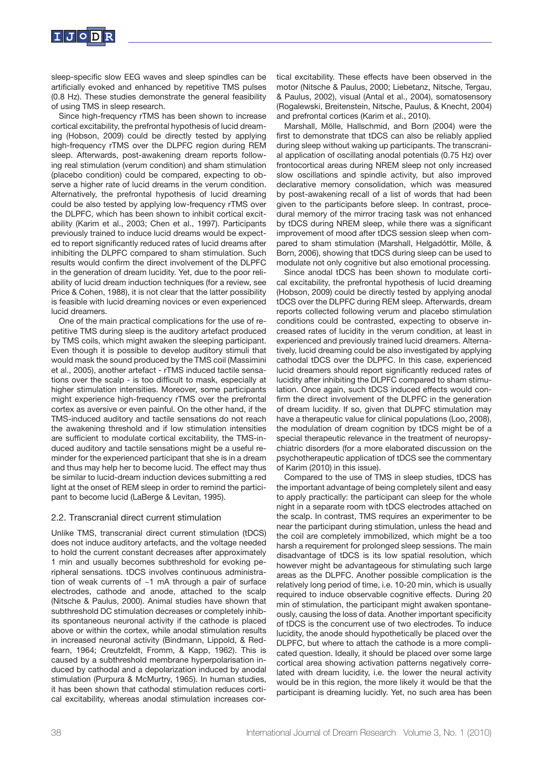

sleep-specific slow EEG waves and sleep spindles can be artificially evoked and enhanced by repetitive TMS pulses (0.8 Hz). These studies demonstrate the general feasibility of using TMS in sleep research.

Since high-frequency rTMS has been shown to increase cortical excitability, the prefrontal hypothesis of lucid dreaming (Hobson, 2009) could be directly tested by applying high-frequency rTMS over the DLPFC region during REM sleep. Afterwards, post-awakening dream reports following real stimulation (verum condition) and sham stimulation (placebo condition) could be compared, expecting to observe a higher rate of lucid dreams in the verum condition. Alternatively, the prefrontal hypothesis of lucid dreaming could be also tested by applying low-frequency rTMS over the DLPFC, which has been shown to inhibit cortical excitability (Karim et al., 2003; Chen et al., 1997). Participants previously trained to induce lucid dreams would be expected to report significantly reduced rates of lucid dreams after inhibiting the DLPFC compared to sham stimulation. Such results would confirm the direct involvement of the DLPFC in the generation of dream lucidity. Yet, due to the poor reliability of lucid dream induction techniques (for a review, see Price & Cohen, 1988), it is not clear that the latter possibility is feasible with lucid dreaming novices or even experienced lucid dreamers.

One of the main practical complications for the use of repetitive TMS during sleep is the auditory artefact produced by TMS coils, which might awaken the sleeping participant. Even though it is possible to develop auditory stimuli that would mask the sound produced by the TMS coil (Massimini et al., 2005), another artefact - rTMS induced tactile sensations over the scalp - is too difficult to mask, especially at higher stimulation intensities. Moreover, some participants might experience high-frequency rTMS over the prefrontal cortex as aversive or even painful. On the other hand, if the TMS-induced auditory and tactile sensations do not reach the awakening threshold and if low stimulation intensities are sufficient to modulate cortical excitability, the TMS-induced auditory and tactile sensations might be a useful reminder for the experienced participant that she is in a dream and thus may help her to become lucid. The effect may thus be similar to lucid-dream induction devices submitting a red light at the onset of REM sleep in order to remind the participant to become lucid (LaBerge & Levitan, 1995).

## 2.2. Transcranial direct current stimulation

Unlike TMS, transcranial direct current stimulation (tDCS) does not induce auditory artefacts, and the voltage needed to hold the current constant decreases after approximately 1 min and usually becomes subthreshold for evoking peripheral sensations. tDCS involves continuous administration of weak currents of ~1 mA through a pair of surface electrodes, cathode and anode, attached to the scalp (Nitsche & Paulus, 2000). Animal studies have shown that subthreshold DC stimulation decreases or completely inhibits spontaneous neuronal activity if the cathode is placed above or within the cortex, while anodal stimulation results in increased neuronal activity (Bindmann, Lippold, & Redfearn, 1964; Creutzfeldt, Fromm, & Kapp, 1962). This is caused by a subthreshold membrane hyperpolarisation induced by cathodal and a depolarization induced by anodal stimulation (Purpura & McMurtry, 1965). In human studies, it has been shown that cathodal stimulation reduces cortical excitability, whereas anodal stimulation increases cortical excitability. These effects have been observed in the motor (Nitsche & Paulus, 2000; Liebetanz, Nitsche, Tergau, & Paulus, 2002), visual (Antal et al., 2004), somatosensory (Rogalewski, Breitenstein, Nitsche, Paulus, & Knecht, 2004) and prefrontal cortices (Karim et al., 2010).

Marshall, Mölle, Hallschmid, and Born (2004) were the first to demonstrate that tDCS can also be reliably applied during sleep without waking up participants. The transcranial application of oscillating anodal potentials (0.75 Hz) over frontocortical areas during NREM sleep not only increased slow oscillations and spindle activity, but also improved declarative memory consolidation, which was measured by post-awakening recall of a list of words that had been given to the participants before sleep. In contrast, procedural memory of the mirror tracing task was not enhanced by tDCS during NREM sleep, while there was a significant improvement of mood after tDCS session sleep when compared to sham stimulation (Marshall, Helgadóttir, Mölle, & Born, 2006), showing that tDCS during sleep can be used to modulate not only cognitive but also emotional processing.

Since anodal tDCS has been shown to modulate cortical excitability, the prefrontal hypothesis of lucid dreaming (Hobson, 2009) could be directly tested by applying anodal tDCS over the DLPFC during REM sleep. Afterwards, dream reports collected following verum and placebo stimulation conditions could be contrasted, expecting to observe increased rates of lucidity in the verum condition, at least in experienced and previously trained lucid dreamers. Alternatively, lucid dreaming could be also investigated by applying cathodal tDCS over the DLPFC. In this case, experienced lucid dreamers should report significantly reduced rates of lucidity after inhibiting the DLPFC compared to sham stimulation. Once again, such tDCS induced effects would confirm the direct involvement of the DLPFC in the generation of dream lucidity. If so, given that DLPFC stimulation may have a therapeutic value for clinical populations (Loo, 2008), the modulation of dream cognition by tDCS might be of a special therapeutic relevance in the treatment of neuropsychiatric disorders (for a more elaborated discussion on the psychotherapeutic application of tDCS see the commentary of Karim (2010) in this issue).

Compared to the use of TMS in sleep studies, tDCS has the important advantage of being completely silent and easy to apply practically: the participant can sleep for the whole night in a separate room with tDCS electrodes attached on the scalp. In contrast, TMS requires an experimenter to be near the participant during stimulation, unless the head and the coil are completely immobilized, which might be a too harsh a requirement for prolonged sleep sessions. The main disadvantage of tDCS is its low spatial resolution, which however might be advantageous for stimulating such large areas as the DLPFC. Another possible complication is the relatively long period of time, i.e. 10-20 min, which is usually required to induce observable cognitive effects. During 20 min of stimulation, the participant might awaken spontaneously, causing the loss of data. Another important specificity of tDCS is the concurrent use of two electrodes. To induce lucidity, the anode should hypothetically be placed over the DLPFC, but where to attach the cathode is a more complicated question. Ideally, it should be placed over some large cortical area showing activation patterns negatively correlated with dream lucidity, i.e. the lower the neural activity would be in this region, the more likely it would be that the participant is dreaming lucidly. Yet, no such area has been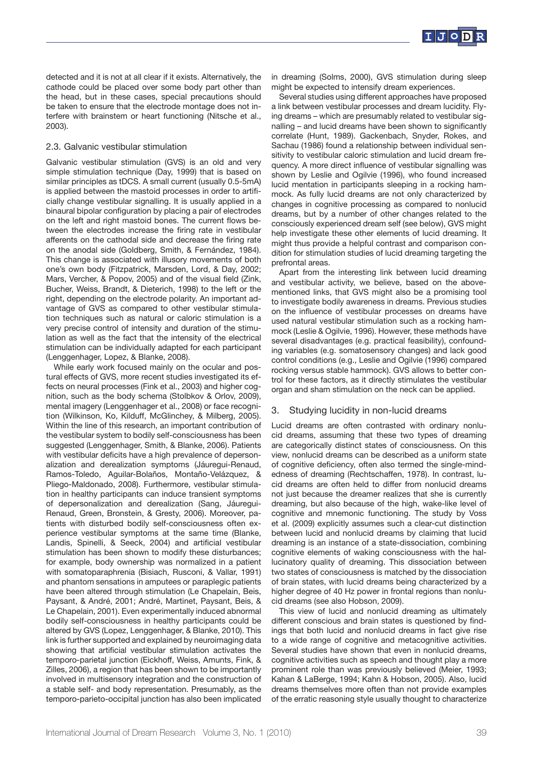

detected and it is not at all clear if it exists. Alternatively, the cathode could be placed over some body part other than the head, but in these cases, special precautions should be taken to ensure that the electrode montage does not interfere with brainstem or heart functioning (Nitsche et al., 2003).

## 2.3. Galvanic vestibular stimulation

Galvanic vestibular stimulation (GVS) is an old and very simple stimulation technique (Day, 1999) that is based on similar principles as tDCS. A small current (usually 0.5-5mA) is applied between the mastoid processes in order to artificially change vestibular signalling. It is usually applied in a binaural bipolar configuration by placing a pair of electrodes on the left and right mastoid bones. The current flows between the electrodes increase the firing rate in vestibular afferents on the cathodal side and decrease the firing rate on the anodal side (Goldberg, Smith, & Fernández, 1984). This change is associated with illusory movements of both one's own body (Fitzpatrick, Marsden, Lord, & Day, 2002; Mars, Vercher, & Popov, 2005) and of the visual field (Zink, Bucher, Weiss, Brandt, & Dieterich, 1998) to the left or the right, depending on the electrode polarity. An important advantage of GVS as compared to other vestibular stimulation techniques such as natural or caloric stimulation is a very precise control of intensity and duration of the stimulation as well as the fact that the intensity of the electrical stimulation can be individually adapted for each participant (Lenggenhager, Lopez, & Blanke, 2008).

While early work focused mainly on the ocular and postural effects of GVS, more recent studies investigated its effects on neural processes (Fink et al., 2003) and higher cognition, such as the body schema (Stolbkov & Orlov, 2009), mental imagery (Lenggenhager et al., 2008) or face recognition (Wilkinson, Ko, Kilduff, McGlinchey, & Milberg, 2005). Within the line of this research, an important contribution of the vestibular system to bodily self-consciousness has been suggested (Lenggenhager, Smith, & Blanke, 2006). Patients with vestibular deficits have a high prevalence of depersonalization and derealization symptoms (Jáuregui-Renaud, Ramos-Toledo, Aguilar-Bolaños, Montaño-Velázquez, & Pliego-Maldonado, 2008). Furthermore, vestibular stimulation in healthy participants can induce transient symptoms of depersonalization and derealization (Sang, Jáuregui-Renaud, Green, Bronstein, & Gresty, 2006). Moreover, patients with disturbed bodily self-consciousness often experience vestibular symptoms at the same time (Blanke, Landis, Spinelli, & Seeck, 2004) and artificial vestibular stimulation has been shown to modify these disturbances; for example, body ownership was normalized in a patient with somatoparaphrenia (Bisiach, Rusconi, & Vallar, 1991) and phantom sensations in amputees or paraplegic patients have been altered through stimulation (Le Chapelain, Beis, Paysant, & André, 2001; André, Martinet, Paysant, Beis, & Le Chapelain, 2001). Even experimentally induced abnormal bodily self-consciousness in healthy participants could be altered by GVS (Lopez, Lenggenhager, & Blanke, 2010). This link is further supported and explained by neuroimaging data showing that artificial vestibular stimulation activates the temporo-parietal junction (Eickhoff, Weiss, Amunts, Fink, & Zilles, 2006), a region that has been shown to be importantly involved in multisensory integration and the construction of a stable self- and body representation. Presumably, as the temporo-parieto-occipital junction has also been implicated

in dreaming (Solms, 2000), GVS stimulation during sleep might be expected to intensify dream experiences.

Several studies using different approaches have proposed a link between vestibular processes and dream lucidity. Flying dreams – which are presumably related to vestibular signalling – and lucid dreams have been shown to significantly correlate (Hunt, 1989). Gackenbach, Snyder, Rokes, and Sachau (1986) found a relationship between individual sensitivity to vestibular caloric stimulation and lucid dream frequency. A more direct influence of vestibular signalling was shown by Leslie and Ogilvie (1996), who found increased lucid mentation in participants sleeping in a rocking hammock. As fully lucid dreams are not only characterized by changes in cognitive processing as compared to nonlucid dreams, but by a number of other changes related to the consciously experienced dream self (see below), GVS might help investigate these other elements of lucid dreaming. It might thus provide a helpful contrast and comparison condition for stimulation studies of lucid dreaming targeting the prefrontal areas.

Apart from the interesting link between lucid dreaming and vestibular activity, we believe, based on the abovementioned links, that GVS might also be a promising tool to investigate bodily awareness in dreams. Previous studies on the influence of vestibular processes on dreams have used natural vestibular stimulation such as a rocking hammock (Leslie & Ogilvie, 1996). However, these methods have several disadvantages (e.g. practical feasibility), confounding variables (e.g. somatosensory changes) and lack good control conditions (e.g., Leslie and Ogilvie (1996) compared rocking versus stable hammock). GVS allows to better control for these factors, as it directly stimulates the vestibular organ and sham stimulation on the neck can be applied.

## 3. Studying lucidity in non-lucid dreams

Lucid dreams are often contrasted with ordinary nonlucid dreams, assuming that these two types of dreaming are categorically distinct states of consciousness. On this view, nonlucid dreams can be described as a uniform state of cognitive deficiency, often also termed the single-mindedness of dreaming (Rechtschaffen, 1978). In contrast, lucid dreams are often held to differ from nonlucid dreams not just because the dreamer realizes that she is currently dreaming, but also because of the high, wake-like level of cognitive and mnemonic functioning. The study by Voss et al. (2009) explicitly assumes such a clear-cut distinction between lucid and nonlucid dreams by claiming that lucid dreaming is an instance of a state-dissociation, combining cognitive elements of waking consciousness with the hallucinatory quality of dreaming. This dissociation between two states of consciousness is matched by the dissociation of brain states, with lucid dreams being characterized by a higher degree of 40 Hz power in frontal regions than nonlucid dreams (see also Hobson, 2009).

This view of lucid and nonlucid dreaming as ultimately different conscious and brain states is questioned by findings that both lucid and nonlucid dreams in fact give rise to a wide range of cognitive and metacognitive activities. Several studies have shown that even in nonlucid dreams, cognitive activities such as speech and thought play a more prominent role than was previously believed (Meier, 1993; Kahan & LaBerge, 1994; Kahn & Hobson, 2005). Also, lucid dreams themselves more often than not provide examples of the erratic reasoning style usually thought to characterize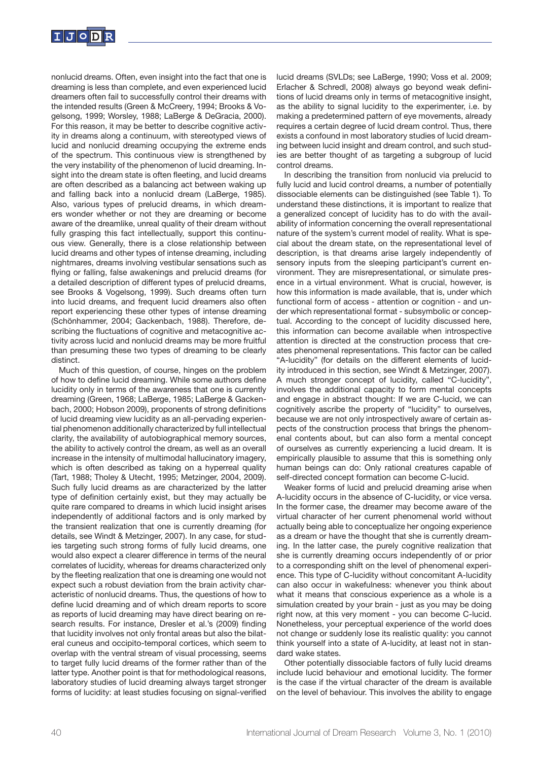

nonlucid dreams. Often, even insight into the fact that one is dreaming is less than complete, and even experienced lucid dreamers often fail to successfully control their dreams with the intended results (Green & McCreery, 1994; Brooks & Vogelsong, 1999; Worsley, 1988; LaBerge & DeGracia, 2000). For this reason, it may be better to describe cognitive activity in dreams along a continuum, with stereotyped views of lucid and nonlucid dreaming occupying the extreme ends of the spectrum. This continuous view is strengthened by the very instability of the phenomenon of lucid dreaming. Insight into the dream state is often fleeting, and lucid dreams are often described as a balancing act between waking up and falling back into a nonlucid dream (LaBerge, 1985). Also, various types of prelucid dreams, in which dreamers wonder whether or not they are dreaming or become aware of the dreamlike, unreal quality of their dream without fully grasping this fact intellectually, support this continuous view. Generally, there is a close relationship between lucid dreams and other types of intense dreaming, including nightmares, dreams involving vestibular sensations such as flying or falling, false awakenings and prelucid dreams (for a detailed description of different types of prelucid dreams, see Brooks & Vogelsong, 1999). Such dreams often turn into lucid dreams, and frequent lucid dreamers also often report experiencing these other types of intense dreaming (Schönhammer, 2004; Gackenbach, 1988). Therefore, describing the fluctuations of cognitive and metacognitive activity across lucid and nonlucid dreams may be more fruitful than presuming these two types of dreaming to be clearly distinct.

Much of this question, of course, hinges on the problem of how to define lucid dreaming. While some authors define lucidity only in terms of the awareness that one is currently dreaming (Green, 1968; LaBerge, 1985; LaBerge & Gackenbach, 2000; Hobson 2009), proponents of strong definitions of lucid dreaming view lucidity as an all-pervading experiential phenomenon additionally characterized by full intellectual clarity, the availability of autobiographical memory sources, the ability to actively control the dream, as well as an overall increase in the intensity of multimodal hallucinatory imagery, which is often described as taking on a hyperreal quality (Tart, 1988; Tholey & Utecht, 1995; Metzinger, 2004, 2009). Such fully lucid dreams as are characterized by the latter type of definition certainly exist, but they may actually be quite rare compared to dreams in which lucid insight arises independently of additional factors and is only marked by the transient realization that one is currently dreaming (for details, see Windt & Metzinger, 2007). In any case, for studies targeting such strong forms of fully lucid dreams, one would also expect a clearer difference in terms of the neural correlates of lucidity, whereas for dreams characterized only by the fleeting realization that one is dreaming one would not expect such a robust deviation from the brain activity characteristic of nonlucid dreams. Thus, the questions of how to define lucid dreaming and of which dream reports to score as reports of lucid dreaming may have direct bearing on research results. For instance, Dresler et al.'s (2009) finding that lucidity involves not only frontal areas but also the bilateral cuneus and occipito-temporal cortices, which seem to overlap with the ventral stream of visual processing, seems to target fully lucid dreams of the former rather than of the latter type. Another point is that for methodological reasons, laboratory studies of lucid dreaming always target stronger forms of lucidity: at least studies focusing on signal-verified lucid dreams (SVLDs; see LaBerge, 1990; Voss et al. 2009; Erlacher & Schredl, 2008) always go beyond weak definitions of lucid dreams only in terms of metacognitive insight, as the ability to signal lucidity to the experimenter, i.e. by making a predetermined pattern of eye movements, already requires a certain degree of lucid dream control. Thus, there exists a confound in most laboratory studies of lucid dreaming between lucid insight and dream control, and such studies are better thought of as targeting a subgroup of lucid control dreams.

In describing the transition from nonlucid via prelucid to fully lucid and lucid control dreams, a number of potentially dissociable elements can be distinguished (see Table 1). To understand these distinctions, it is important to realize that a generalized concept of lucidity has to do with the availability of information concerning the overall representational nature of the system's current model of reality. What is special about the dream state, on the representational level of description, is that dreams arise largely independently of sensory inputs from the sleeping participant's current environment. They are misrepresentational, or simulate presence in a virtual environment. What is crucial, however, is how this information is made available, that is, under which functional form of access - attention or cognition - and under which representational format - subsymbolic or conceptual. According to the concept of lucidity discussed here, this information can become available when introspective attention is directed at the construction process that creates phenomenal representations. This factor can be called "A-lucidity" (for details on the different elements of lucidity introduced in this section, see Windt & Metzinger, 2007). A much stronger concept of lucidity, called "C-lucidity", involves the additional capacity to form mental concepts and engage in abstract thought: If we are C-lucid, we can cognitively ascribe the property of "lucidity" to ourselves, because we are not only introspectively aware of certain aspects of the construction process that brings the phenomenal contents about, but can also form a mental concept of ourselves as currently experiencing a lucid dream. It is empirically plausible to assume that this is something only human beings can do: Only rational creatures capable of self-directed concept formation can become C-lucid.

Weaker forms of lucid and prelucid dreaming arise when A-lucidity occurs in the absence of C-lucidity, or vice versa. In the former case, the dreamer may become aware of the virtual character of her current phenomenal world without actually being able to conceptualize her ongoing experience as a dream or have the thought that she is currently dreaming. In the latter case, the purely cognitive realization that she is currently dreaming occurs independently of or prior to a corresponding shift on the level of phenomenal experience. This type of C-lucidity without concomitant A-lucidity can also occur in wakefulness: whenever you think about what it means that conscious experience as a whole is a simulation created by your brain - just as you may be doing right now, at this very moment - you can become C-lucid. Nonetheless, your perceptual experience of the world does not change or suddenly lose its realistic quality: you cannot think yourself into a state of A-lucidity, at least not in standard wake states.

Other potentially dissociable factors of fully lucid dreams include lucid behaviour and emotional lucidity. The former is the case if the virtual character of the dream is available on the level of behaviour. This involves the ability to engage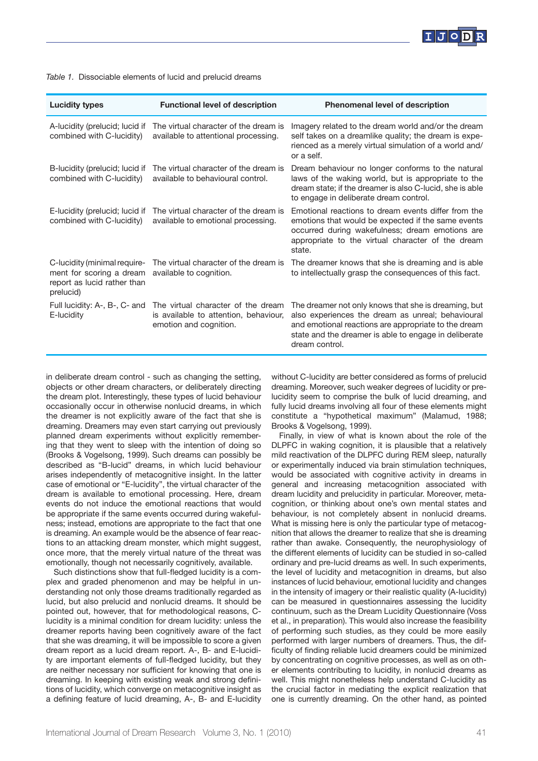

| <b>Lucidity types</b>                                                                                | <b>Functional level of description</b>                                                                | <b>Phenomenal level of description</b>                                                                                                                                                                                                       |
|------------------------------------------------------------------------------------------------------|-------------------------------------------------------------------------------------------------------|----------------------------------------------------------------------------------------------------------------------------------------------------------------------------------------------------------------------------------------------|
| A-lucidity (prelucid; lucid if<br>combined with C-lucidity)                                          | The virtual character of the dream is<br>available to attentional processing.                         | Imagery related to the dream world and/or the dream<br>self takes on a dreamlike quality; the dream is expe-<br>rienced as a merely virtual simulation of a world and/<br>or a self.                                                         |
| B-lucidity (prelucid; lucid if<br>combined with C-lucidity)                                          | The virtual character of the dream is<br>available to behavioural control.                            | Dream behaviour no longer conforms to the natural<br>laws of the waking world, but is appropriate to the<br>dream state; if the dreamer is also C-lucid, she is able<br>to engage in deliberate dream control.                               |
| E-lucidity (prelucid; lucid if<br>combined with C-lucidity)                                          | The virtual character of the dream is<br>available to emotional processing.                           | Emotional reactions to dream events differ from the<br>emotions that would be expected if the same events<br>occurred during wakefulness; dream emotions are<br>appropriate to the virtual character of the dream<br>state.                  |
| C-lucidity (minimal require-<br>ment for scoring a dream<br>report as lucid rather than<br>prelucid) | The virtual character of the dream is<br>available to cognition.                                      | The dreamer knows that she is dreaming and is able<br>to intellectually grasp the consequences of this fact.                                                                                                                                 |
| Full lucidity: A-, B-, C- and<br>E-lucidity                                                          | The virtual character of the dream<br>is available to attention, behaviour,<br>emotion and cognition. | The dreamer not only knows that she is dreaming, but<br>also experiences the dream as unreal; behavioural<br>and emotional reactions are appropriate to the dream<br>state and the dreamer is able to engage in deliberate<br>dream control. |

|  | Table 1. Dissociable elements of lucid and prelucid dreams |  |  |  |  |  |
|--|------------------------------------------------------------|--|--|--|--|--|
|--|------------------------------------------------------------|--|--|--|--|--|

in deliberate dream control - such as changing the setting, objects or other dream characters, or deliberately directing the dream plot. Interestingly, these types of lucid behaviour occasionally occur in otherwise nonlucid dreams, in which the dreamer is not explicitly aware of the fact that she is dreaming. Dreamers may even start carrying out previously planned dream experiments without explicitly remembering that they went to sleep with the intention of doing so (Brooks & Vogelsong, 1999). Such dreams can possibly be described as "B-lucid" dreams, in which lucid behaviour arises independently of metacognitive insight. In the latter case of emotional or "E-lucidity", the virtual character of the dream is available to emotional processing. Here, dream events do not induce the emotional reactions that would be appropriate if the same events occurred during wakefulness; instead, emotions are appropriate to the fact that one is dreaming. An example would be the absence of fear reactions to an attacking dream monster, which might suggest, once more, that the merely virtual nature of the threat was emotionally, though not necessarily cognitively, available.

Such distinctions show that full-fledged lucidity is a complex and graded phenomenon and may be helpful in understanding not only those dreams traditionally regarded as lucid, but also prelucid and nonlucid dreams. It should be pointed out, however, that for methodological reasons, Clucidity is a minimal condition for dream lucidity: unless the dreamer reports having been cognitively aware of the fact that she was dreaming, it will be impossible to score a given dream report as a lucid dream report. A-, B- and E-lucidity are important elements of full-fledged lucidity, but they are neither necessary nor sufficient for knowing that one is dreaming. In keeping with existing weak and strong definitions of lucidity, which converge on metacognitive insight as a defining feature of lucid dreaming, A-, B- and E-lucidity

without C-lucidity are better considered as forms of prelucid dreaming. Moreover, such weaker degrees of lucidity or prelucidity seem to comprise the bulk of lucid dreaming, and fully lucid dreams involving all four of these elements might constitute a "hypothetical maximum" (Malamud, 1988; Brooks & Vogelsong, 1999).

Finally, in view of what is known about the role of the DLPFC in waking cognition, it is plausible that a relatively mild reactivation of the DLPFC during REM sleep, naturally or experimentally induced via brain stimulation techniques, would be associated with cognitive activity in dreams in general and increasing metacognition associated with dream lucidity and prelucidity in particular. Moreover, metacognition, or thinking about one's own mental states and behaviour, is not completely absent in nonlucid dreams. What is missing here is only the particular type of metacognition that allows the dreamer to realize that she is dreaming rather than awake. Consequently, the neurophysiology of the different elements of lucidity can be studied in so-called ordinary and pre-lucid dreams as well. In such experiments, the level of lucidity and metacognition in dreams, but also instances of lucid behaviour, emotional lucidity and changes in the intensity of imagery or their realistic quality (A-lucidity) can be measured in questionnaires assessing the lucidity continuum, such as the Dream Lucidity Questionnaire (Voss et al., in preparation). This would also increase the feasibility of performing such studies, as they could be more easily performed with larger numbers of dreamers. Thus, the difficulty of finding reliable lucid dreamers could be minimized by concentrating on cognitive processes, as well as on other elements contributing to lucidity, in nonlucid dreams as well. This might nonetheless help understand C-lucidity as the crucial factor in mediating the explicit realization that one is currently dreaming. On the other hand, as pointed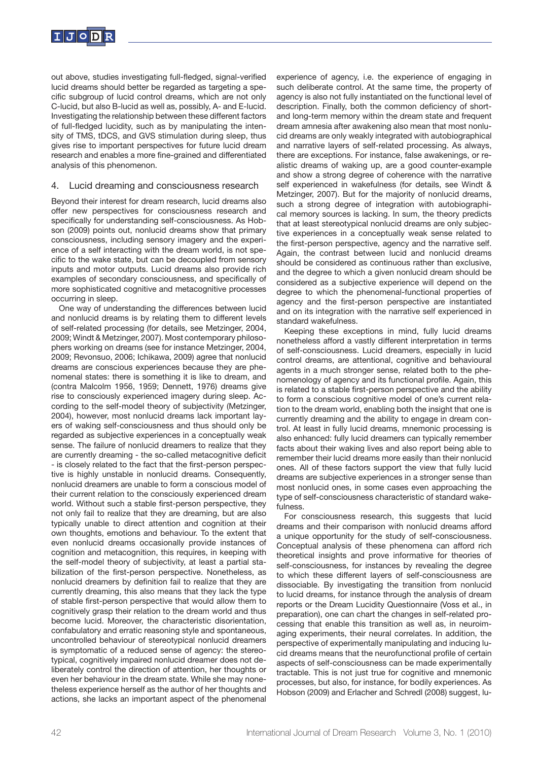

out above, studies investigating full-fledged, signal-verified lucid dreams should better be regarded as targeting a specific subgroup of lucid control dreams, which are not only C-lucid, but also B-lucid as well as, possibly, A- and E-lucid. Investigating the relationship between these different factors of full-fledged lucidity, such as by manipulating the intensity of TMS, tDCS, and GVS stimulation during sleep, thus gives rise to important perspectives for future lucid dream research and enables a more fine-grained and differentiated analysis of this phenomenon.

## 4. Lucid dreaming and consciousness research

Beyond their interest for dream research, lucid dreams also offer new perspectives for consciousness research and specifically for understanding self-consciousness. As Hobson (2009) points out, nonlucid dreams show that primary consciousness, including sensory imagery and the experience of a self interacting with the dream world, is not specific to the wake state, but can be decoupled from sensory inputs and motor outputs. Lucid dreams also provide rich examples of secondary consciousness, and specifically of more sophisticated cognitive and metacognitive processes occurring in sleep.

One way of understanding the differences between lucid and nonlucid dreams is by relating them to different levels of self-related processing (for details, see Metzinger, 2004, 2009; Windt & Metzinger, 2007). Most contemporary philosophers working on dreams (see for instance Metzinger, 2004, 2009; Revonsuo, 2006; Ichikawa, 2009) agree that nonlucid dreams are conscious experiences because they are phenomenal states: there is something it is like to dream, and (contra Malcolm 1956, 1959; Dennett, 1976) dreams give rise to consciously experienced imagery during sleep. According to the self-model theory of subjectivity (Metzinger, 2004), however, most nonlucid dreams lack important layers of waking self-consciousness and thus should only be regarded as subjective experiences in a conceptually weak sense. The failure of nonlucid dreamers to realize that they are currently dreaming - the so-called metacognitive deficit - is closely related to the fact that the first-person perspective is highly unstable in nonlucid dreams. Consequently, nonlucid dreamers are unable to form a conscious model of their current relation to the consciously experienced dream world. Without such a stable first-person perspective, they not only fail to realize that they are dreaming, but are also typically unable to direct attention and cognition at their own thoughts, emotions and behaviour. To the extent that even nonlucid dreams occasionally provide instances of cognition and metacognition, this requires, in keeping with the self-model theory of subjectivity, at least a partial stabilization of the first-person perspective. Nonetheless, as nonlucid dreamers by definition fail to realize that they are currently dreaming, this also means that they lack the type of stable first-person perspective that would allow them to cognitively grasp their relation to the dream world and thus become lucid. Moreover, the characteristic disorientation, confabulatory and erratic reasoning style and spontaneous, uncontrolled behaviour of stereotypical nonlucid dreamers is symptomatic of a reduced sense of agency: the stereotypical, cognitively impaired nonlucid dreamer does not deliberately control the direction of attention, her thoughts or even her behaviour in the dream state. While she may nonetheless experience herself as the author of her thoughts and actions, she lacks an important aspect of the phenomenal experience of agency, i.e. the experience of engaging in such deliberate control. At the same time, the property of agency is also not fully instantiated on the functional level of description. Finally, both the common deficiency of shortand long-term memory within the dream state and frequent dream amnesia after awakening also mean that most nonlucid dreams are only weakly integrated with autobiographical and narrative layers of self-related processing. As always, there are exceptions. For instance, false awakenings, or realistic dreams of waking up, are a good counter-example and show a strong degree of coherence with the narrative self experienced in wakefulness (for details, see Windt & Metzinger, 2007). But for the majority of nonlucid dreams, such a strong degree of integration with autobiographical memory sources is lacking. In sum, the theory predicts that at least stereotypical nonlucid dreams are only subjective experiences in a conceptually weak sense related to the first-person perspective, agency and the narrative self. Again, the contrast between lucid and nonlucid dreams should be considered as continuous rather than exclusive, and the degree to which a given nonlucid dream should be considered as a subjective experience will depend on the degree to which the phenomenal-functional properties of agency and the first-person perspective are instantiated and on its integration with the narrative self experienced in standard wakefulness.

Keeping these exceptions in mind, fully lucid dreams nonetheless afford a vastly different interpretation in terms of self-consciousness. Lucid dreamers, especially in lucid control dreams, are attentional, cognitive and behavioural agents in a much stronger sense, related both to the phenomenology of agency and its functional profile. Again, this is related to a stable first-person perspective and the ability to form a conscious cognitive model of one's current relation to the dream world, enabling both the insight that one is currently dreaming and the ability to engage in dream control. At least in fully lucid dreams, mnemonic processing is also enhanced: fully lucid dreamers can typically remember facts about their waking lives and also report being able to remember their lucid dreams more easily than their nonlucid ones. All of these factors support the view that fully lucid dreams are subjective experiences in a stronger sense than most nonlucid ones, in some cases even approaching the type of self-consciousness characteristic of standard wakefulness.

For consciousness research, this suggests that lucid dreams and their comparison with nonlucid dreams afford a unique opportunity for the study of self-consciousness. Conceptual analysis of these phenomena can afford rich theoretical insights and prove informative for theories of self-consciousness, for instances by revealing the degree to which these different layers of self-consciousness are dissociable. By investigating the transition from nonlucid to lucid dreams, for instance through the analysis of dream reports or the Dream Lucidity Questionnaire (Voss et al., in preparation), one can chart the changes in self-related processing that enable this transition as well as, in neuroimaging experiments, their neural correlates. In addition, the perspective of experimentally manipulating and inducing lucid dreams means that the neurofunctional profile of certain aspects of self-consciousness can be made experimentally tractable. This is not just true for cognitive and mnemonic processes, but also, for instance, for bodily experiences. As Hobson (2009) and Erlacher and Schredl (2008) suggest, lu-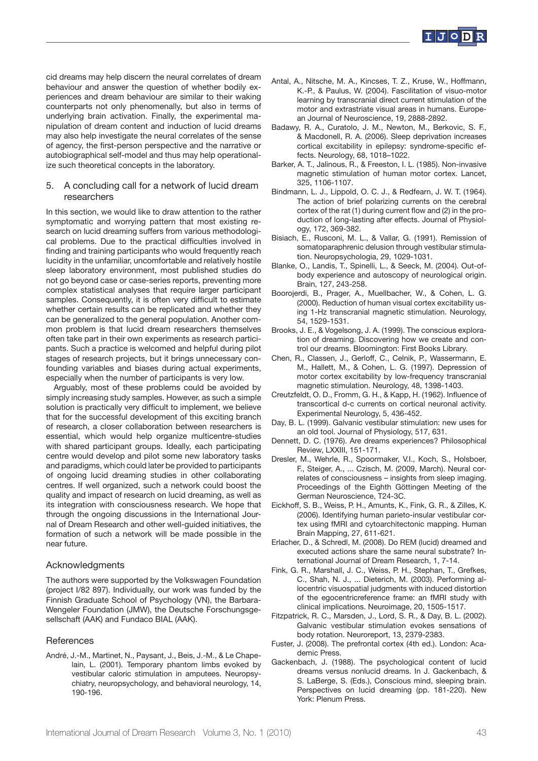

cid dreams may help discern the neural correlates of dream behaviour and answer the question of whether bodily experiences and dream behaviour are similar to their waking counterparts not only phenomenally, but also in terms of underlying brain activation. Finally, the experimental manipulation of dream content and induction of lucid dreams may also help investigate the neural correlates of the sense of agency, the first-person perspective and the narrative or autobiographical self-model and thus may help operationalize such theoretical concepts in the laboratory.

## 5. A concluding call for a network of lucid dream researchers

In this section, we would like to draw attention to the rather symptomatic and worrying pattern that most existing research on lucid dreaming suffers from various methodological problems. Due to the practical difficulties involved in finding and training participants who would frequently reach lucidity in the unfamiliar, uncomfortable and relatively hostile sleep laboratory environment, most published studies do not go beyond case or case-series reports, preventing more complex statistical analyses that require larger participant samples. Consequently, it is often very difficult to estimate whether certain results can be replicated and whether they can be generalized to the general population. Another common problem is that lucid dream researchers themselves often take part in their own experiments as research participants. Such a practice is welcomed and helpful during pilot stages of research projects, but it brings unnecessary confounding variables and biases during actual experiments, especially when the number of participants is very low.

Arguably, most of these problems could be avoided by simply increasing study samples. However, as such a simple solution is practically very difficult to implement, we believe that for the successful development of this exciting branch of research, a closer collaboration between researchers is essential, which would help organize multicentre-studies with shared participant groups. Ideally, each participating centre would develop and pilot some new laboratory tasks and paradigms, which could later be provided to participants of ongoing lucid dreaming studies in other collaborating centres. If well organized, such a network could boost the quality and impact of research on lucid dreaming, as well as its integration with consciousness research. We hope that through the ongoing discussions in the International Journal of Dream Research and other well-guided initiatives, the formation of such a network will be made possible in the near future.

#### Acknowledgments

The authors were supported by the Volkswagen Foundation (project I/82 897). Individually, our work was funded by the Finnish Graduate School of Psychology (VN), the Barbara-Wengeler Foundation (JMW), the Deutsche Forschungsgesellschaft (AAK) and Fundaco BIAL (AAK).

#### References

André, J.-M., Martinet, N., Paysant, J., Beis, J.-M., & Le Chapelain, L. (2001). Temporary phantom limbs evoked by vestibular caloric stimulation in amputees. Neuropsychiatry, neuropsychology, and behavioral neurology, 14, 190-196.

- Antal, A., Nitsche, M. A., Kincses, T. Z., Kruse, W., Hoffmann, K.-P., & Paulus, W. (2004). Fascilitation of visuo-motor learning by transcranial direct current stimulation of the motor and extrastriate visual areas in humans. European Journal of Neuroscience, 19, 2888-2892.
- Badawy, R. A., Curatolo, J. M., Newton, M., Berkovic, S. F., & Macdonell, R. A. (2006). Sleep deprivation increases cortical excitability in epilepsy: syndrome-specific effects. Neurology, 68, 1018–1022.
- Barker, A. T., Jalinous, R., & Freeston, I. L. (1985). Non-invasive magnetic stimulation of human motor cortex. Lancet, 325, 1106-1107.
- Bindmann, L. J., Lippold, O. C. J., & Redfearn, J. W. T. (1964). The action of brief polarizing currents on the cerebral cortex of the rat (1) during current flow and (2) in the production of long-lasting after effects. Journal of Physiology, 172, 369-382.
- Bisiach, E., Rusconi, M. L., & Vallar, G. (1991). Remission of somatoparaphrenic delusion through vestibular stimulation. Neuropsychologia, 29, 1029-1031.
- Blanke, O., Landis, T., Spinelli, L., & Seeck, M. (2004). Out-ofbody experience and autoscopy of neurological origin. Brain, 127, 243-258.
- Boorojerdi, B., Prager, A., Muellbacher, W., & Cohen, L. G. (2000). Reduction of human visual cortex excitability using 1-Hz transcranial magnetic stimulation. Neurology, 54, 1529-1531.
- Brooks, J. E., & Vogelsong, J. A. (1999). The conscious exploration of dreaming. Discovering how we create and control our dreams. Bloomington: First Books Library.
- Chen, R., Classen, J., Gerloff, C., Celnik, P., Wassermann, E. M., Hallett, M., & Cohen, L. G. (1997). Depression of motor cortex excitability by low-frequency transcranial magnetic stimulation. Neurology, 48, 1398-1403.
- Creutzfeldt, O. D., Fromm, G. H., & Kapp, H. (1962). Influence of transcortical d-c currents on cortical neuronal activity. Experimental Neurology, 5, 436-452.
- Day, B. L. (1999). Galvanic vestibular stimulation: new uses for an old tool. Journal of Physiology, 517, 631.
- Dennett, D. C. (1976). Are dreams experiences? Philosophical Review, LXXIII, 151-171.
- Dresler, M., Wehrle, R., Spoormaker, V.I., Koch, S., Holsboer, F., Steiger, A., ... Czisch, M. (2009, March). Neural correlates of consciousness – insights from sleep imaging. Proceedings of the Eighth Göttingen Meeting of the German Neuroscience, T24-3C.
- Eickhoff, S. B., Weiss, P. H., Amunts, K., Fink, G. R., & Zilles, K. (2006). Identifying human parieto-insular vestibular cortex using fMRI and cytoarchitectonic mapping. Human Brain Mapping, 27, 611-621.
- Erlacher, D., & Schredl, M. (2008). Do REM (lucid) dreamed and executed actions share the same neural substrate? International Journal of Dream Research, 1, 7-14.
- Fink, G. R., Marshall, J. C., Weiss, P. H., Stephan, T., Grefkes, C., Shah, N. J., ... Dieterich, M. (2003). Performing allocentric visuospatial judgments with induced distortion of the egocentricreference frame: an fMRI study with clinical implications. Neuroimage, 20, 1505-1517.
- Fitzpatrick, R. C., Marsden, J., Lord, S. R., & Day, B. L. (2002). Galvanic vestibular stimulation evokes sensations of body rotation. Neuroreport, 13, 2379-2383.
- Fuster, J. (2008). The prefrontal cortex (4th ed.). London: Academic Press.
- Gackenbach, J. (1988). The psychological content of lucid dreams versus nonlucid dreams. In J. Gackenbach, & S. LaBerge, S. (Eds.), Conscious mind, sleeping brain. Perspectives on lucid dreaming (pp. 181-220). New York: Plenum Press.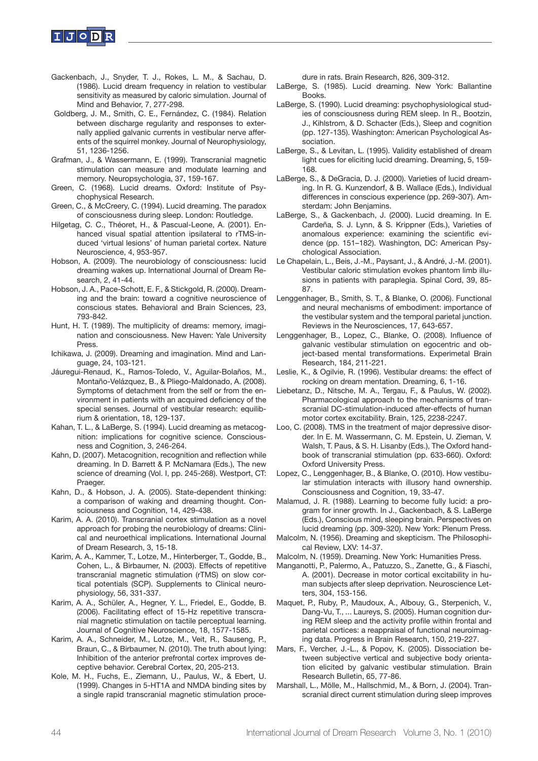

- Gackenbach, J., Snyder, T. J., Rokes, L. M., & Sachau, D. (1986). Lucid dream frequency in relation to vestibular sensitivity as measured by caloric simulation. Journal of Mind and Behavior, 7, 277-298.
- Goldberg, J. M., Smith, C. E., Fernández, C. (1984). Relation between discharge regularity and responses to externally applied galvanic currents in vestibular nerve afferents of the squirrel monkey. Journal of Neurophysiology, 51, 1236-1256.
- Grafman, J., & Wassermann, E. (1999). Transcranial magnetic stimulation can measure and modulate learning and memory. Neuropsychologia, 37, 159-167.
- Green, C. (1968). Lucid dreams. Oxford: Institute of Psychophysical Research.
- Green, C., & McCreery, C. (1994). Lucid dreaming. The paradox of consciousness during sleep. London: Routledge.
- Hilgetag, C. C., Théoret, H., & Pascual-Leone, A. (2001). Enhanced visual spatial attention ipsilateral to rTMS-induced 'virtual lesions' of human parietal cortex. Nature Neuroscience, 4, 953-957.
- Hobson, A. (2009). The neurobiology of consciousness: lucid dreaming wakes up. International Journal of Dream Research, 2, 41-44.
- Hobson, J. A., Pace-Schott, E. F., & Stickgold, R. (2000). Dreaming and the brain: toward a cognitive neuroscience of conscious states. Behavioral and Brain Sciences, 23, 793-842.
- Hunt, H. T. (1989). The multiplicity of dreams: memory, imagination and consciousness. New Haven: Yale University Press.
- Ichikawa, J. (2009). Dreaming and imagination. Mind and Language, 24, 103-121.
- Jáuregui-Renaud, K., Ramos-Toledo, V., Aguilar-Bolaños, M., Montaño-Velázquez, B., & Pliego-Maldonado, A. (2008). Symptoms of detachment from the self or from the environment in patients with an acquired deficiency of the special senses. Journal of vestibular research: equilibrium & orientation, 18, 129-137.
- Kahan, T. L., & LaBerge, S. (1994). Lucid dreaming as metacognition: implications for cognitive science. Consciousness and Cognition, 3, 246-264.
- Kahn, D. (2007). Metacognition, recognition and reflection while dreaming. In D. Barrett & P. McNamara (Eds.), The new science of dreaming (Vol. I, pp. 245-268). Westport, CT: Praeger.
- Kahn, D., & Hobson, J. A. (2005). State-dependent thinking: a comparison of waking and dreaming thought. Consciousness and Cognition, 14, 429-438.
- Karim, A. A. (2010). Transcranial cortex stimulation as a novel approach for probing the neurobiology of dreams: Clinical and neuroethical implications. International Journal of Dream Research, 3, 15-18.
- Karim, A. A., Kammer, T., Lotze, M., Hinterberger, T., Godde, B., Cohen, L., & Birbaumer, N. (2003). Effects of repetitive transcranial magnetic stimulation (rTMS) on slow cortical potentials (SCP). Supplements to Clinical neurophysiology, 56, 331-337.
- Karim, A. A., Schüler, A., Hegner, Y. L., Friedel, E., Godde, B. (2006). Facilitating effect of 15-Hz repetitive transcranial magnetic stimulation on tactile perceptual learning. Journal of Cognitive Neuroscience, 18, 1577-1585.
- Karim, A. A., Schneider, M., Lotze, M., Veit, R., Sauseng, P., Braun, C., & Birbaumer, N. (2010). The truth about lying: Inhibition of the anterior prefrontal cortex improves deceptive behavior. Cerebral Cortex, 20, 205-213.
- Kole, M. H., Fuchs, E., Ziemann, U., Paulus, W., & Ebert, U. (1999). Changes in 5-HT1A and NMDA binding sites by a single rapid transcranial magnetic stimulation proce-

dure in rats. Brain Research, 826, 309-312.

- LaBerge, S. (1985). Lucid dreaming. New York: Ballantine Books.
- LaBerge, S. (1990). Lucid dreaming: psychophysiological studies of consciousness during REM sleep. In R., Bootzin, J., Kihlstrom, & D. Schacter (Eds.), Sleep and cognition (pp. 127-135). Washington: American Psychological Association.
- LaBerge, S., & Levitan, L. (1995). Validity established of dream light cues for eliciting lucid dreaming. Dreaming, 5, 159- 168.
- LaBerge, S., & DeGracia, D. J. (2000). Varieties of lucid dreaming. In R. G. Kunzendorf, & B. Wallace (Eds.), Individual differences in conscious experience (pp. 269-307). Amsterdam: John Benjamins.
- LaBerge, S., & Gackenbach, J. (2000). Lucid dreaming. In E. Cardeña, S. J. Lynn, & S. Krippner (Eds.), Varieties of anomalous experience: examining the scientific evidence (pp. 151–182). Washington, DC: American Psychological Association.
- Le Chapelain, L., Beis, J.-M., Paysant, J., & André, J.-M. (2001). Vestibular caloric stimulation evokes phantom limb illusions in patients with paraplegia. Spinal Cord, 39, 85- 87.
- Lenggenhager, B., Smith, S. T., & Blanke, O. (2006). Functional and neural mechanisms of embodiment: importance of the vestibular system and the temporal parietal junction. Reviews in the Neurosciences, 17, 643-657.
- Lenggenhager, B., Lopez, C., Blanke, O. (2008). Influence of galvanic vestibular stimulation on egocentric and object-based mental transformations. Experimetal Brain Research, 184, 211-221.
- Leslie, K., & Ogilvie, R. (1996). Vestibular dreams: the effect of rocking on dream mentation. Dreaming, 6, 1-16.
- Liebetanz, D., Nitsche, M. A., Tergau, F., & Paulus, W. (2002). Pharmacological approach to the mechanisms of transcranial DC-stimulation-induced after-effects of human motor cortex excitability. Brain, 125, 2238-2247.
- Loo, C. (2008). TMS in the treatment of major depressive disorder. In E. M. Wassermann, C. M. Epstein, U. Zieman, V. Walsh, T. Paus, & S. H. Lisanby (Eds.), The Oxford handbook of transcranial stimulation (pp. 633-660). Oxford: Oxford University Press.
- Lopez, C., Lenggenhager, B., & Blanke, O. (2010). How vestibular stimulation interacts with illusory hand ownership. Consciousness and Cognition, 19, 33-47.
- Malamud, J. R. (1988). Learning to become fully lucid: a program for inner growth. In J., Gackenbach, & S. LaBerge (Eds.), Conscious mind, sleeping brain. Perspectives on lucid dreaming (pp. 309-320). New York: Plenum Press.
- Malcolm, N. (1956). Dreaming and skepticism. The Philosophical Review, LXV: 14-37.
- Malcolm, N. (1959). Dreaming. New York: Humanities Press.
- Manganotti, P., Palermo, A., Patuzzo, S., Zanette, G., & Fiaschi, A. (2001). Decrease in motor cortical excitability in human subjects after sleep deprivation. Neuroscience Letters, 304, 153-156.
- Maquet, P., Ruby, P., Maudoux, A., Albouy, G., Sterpenich, V., Dang-Vu, T., ... Laureys, S. (2005). Human cognition during REM sleep and the activity profile within frontal and parietal cortices: a reappraisal of functional neuroimaging data. Progress in Brain Research, 150, 219-227.
- Mars, F., Vercher, J.-L., & Popov, K. (2005). Dissociation between subjective vertical and subjective body orientation elicited by galvanic vestibular stimulation. Brain Research Bulletin, 65, 77-86.
- Marshall, L., Mölle, M., Hallschmid, M., & Born, J. (2004). Transcranial direct current stimulation during sleep improves